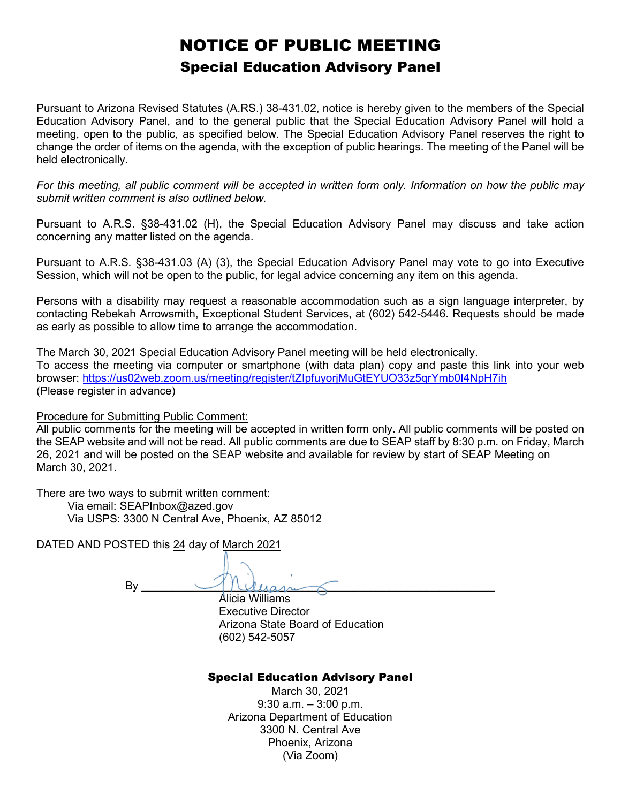## NOTICE OF PUBLIC MEETING Special Education Advisory Panel

Pursuant to Arizona Revised Statutes (A.RS.) 38-431.02, notice is hereby given to the members of the Special Education Advisory Panel, and to the general public that the Special Education Advisory Panel will hold a meeting, open to the public, as specified below. The Special Education Advisory Panel reserves the right to change the order of items on the agenda, with the exception of public hearings. The meeting of the Panel will be held electronically.

*For this meeting, all public comment will be accepted in written form only. Information on how the public may submit written comment is also outlined below.*

Pursuant to A.R.S. §38-431.02 (H), the Special Education Advisory Panel may discuss and take action concerning any matter listed on the agenda.

Pursuant to A.R.S. §38-431.03 (A) (3), the Special Education Advisory Panel may vote to go into Executive Session, which will not be open to the public, for legal advice concerning any item on this agenda.

Persons with a disability may request a reasonable accommodation such as a sign language interpreter, by contacting Rebekah Arrowsmith, Exceptional Student Services, at (602) 542-5446. Requests should be made as early as possible to allow time to arrange the accommodation.

The March 30, 2021 Special Education Advisory Panel meeting will be held electronically. To access the meeting via computer or smartphone (with data plan) copy and paste this link into your web browser:<https://us02web.zoom.us/meeting/register/tZIpfuyorjMuGtEYUO33z5qrYmb0I4NpH7ih> (Please register in advance)

Procedure for Submitting Public Comment:

All public comments for the meeting will be accepted in written form only. All public comments will be posted on the SEAP website and will not be read. All public comments are due to SEAP staff by 8:30 p.m. on Friday, March 26, 2021 and will be posted on the SEAP website and available for review by start of SEAP Meeting on March 30, 2021.

There are two ways to submit written comment:

 Via email: SEAPInbox@azed.gov Via USPS: 3300 N Central Ave, Phoenix, AZ 85012

DATED AND POSTED this 24 day of March 2021

 $By \_\_\_\_\_\_\_\_\_$ 

Alicia Williams Executive Director Arizona State Board of Education (602) 542-5057

## Special Education Advisory Panel

March 30, 2021  $9:30$  a.m.  $-3:00$  p.m. Arizona Department of Education 3300 N. Central Ave Phoenix, Arizona (Via Zoom)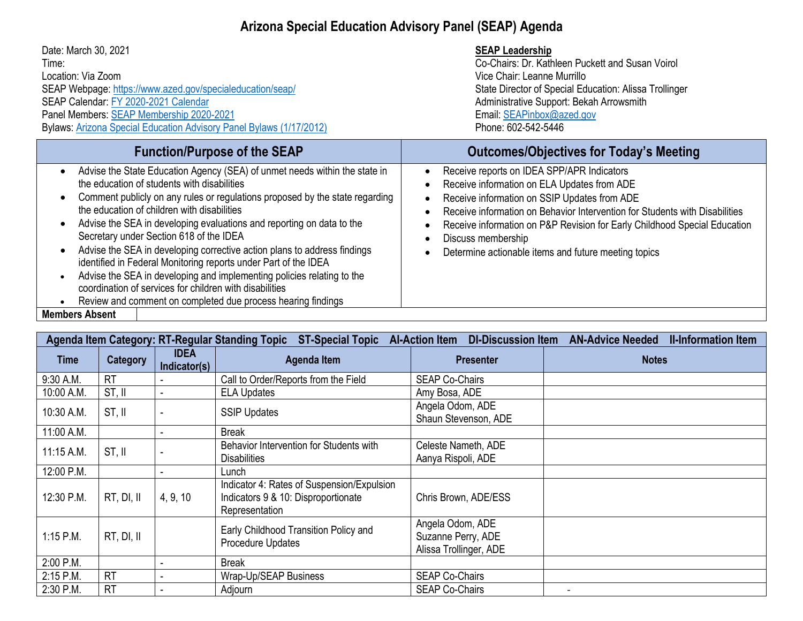## **Arizona Special Education Advisory Panel (SEAP) Agenda**

| Date: March 30, 2021<br>Time:<br>Location: Via Zoom<br>SEAP Webpage: https://www.azed.gov/specialeducation/seap/<br>SEAP Calendar: FY 2020-2021 Calendar<br>Panel Members: SEAP Membership 2020-2021<br>Bylaws: Arizona Special Education Advisory Panel Bylaws (1/17/2012)                                                                                                                                                                                                                                                                                                                                                                                                                                                                                                                                   | <b>SEAP Leadership</b><br>Co-Chairs: Dr. Kathleen Puckett and Susan Voirol<br>Vice Chair: Leanne Murrillo<br>State Director of Special Education: Alissa Trollinger<br>Administrative Support: Bekah Arrowsmith<br>Email: SEAPinbox@azed.gov<br>Phone: 602-542-5446                                                                                                                 |  |
|---------------------------------------------------------------------------------------------------------------------------------------------------------------------------------------------------------------------------------------------------------------------------------------------------------------------------------------------------------------------------------------------------------------------------------------------------------------------------------------------------------------------------------------------------------------------------------------------------------------------------------------------------------------------------------------------------------------------------------------------------------------------------------------------------------------|-------------------------------------------------------------------------------------------------------------------------------------------------------------------------------------------------------------------------------------------------------------------------------------------------------------------------------------------------------------------------------------|--|
| <b>Function/Purpose of the SEAP</b>                                                                                                                                                                                                                                                                                                                                                                                                                                                                                                                                                                                                                                                                                                                                                                           | <b>Outcomes/Objectives for Today's Meeting</b>                                                                                                                                                                                                                                                                                                                                      |  |
| Advise the State Education Agency (SEA) of unmet needs within the state in<br>$\bullet$<br>the education of students with disabilities<br>Comment publicly on any rules or regulations proposed by the state regarding<br>the education of children with disabilities<br>Advise the SEA in developing evaluations and reporting on data to the<br>$\bullet$<br>Secretary under Section 618 of the IDEA<br>Advise the SEA in developing corrective action plans to address findings<br>$\bullet$<br>identified in Federal Monitoring reports under Part of the IDEA<br>Advise the SEA in developing and implementing policies relating to the<br>$\bullet$<br>coordination of services for children with disabilities<br>Review and comment on completed due process hearing findings<br><b>Members Absent</b> | Receive reports on IDEA SPP/APR Indicators<br>Receive information on ELA Updates from ADE<br>Receive information on SSIP Updates from ADE<br>Receive information on Behavior Intervention for Students with Disabilities<br>Receive information on P&P Revision for Early Childhood Special Education<br>Discuss membership<br>Determine actionable items and future meeting topics |  |
|                                                                                                                                                                                                                                                                                                                                                                                                                                                                                                                                                                                                                                                                                                                                                                                                               |                                                                                                                                                                                                                                                                                                                                                                                     |  |

| <b>DI-Discussion Item</b><br><b>AN-Advice Needed</b><br>Agenda Item Category: RT-Regular Standing Topic<br><b>ST-Special Topic</b><br><b>Al-Action Item</b> |                 |                             |                                                                                                     |                                                                  | <b>II-Information Item</b> |
|-------------------------------------------------------------------------------------------------------------------------------------------------------------|-----------------|-----------------------------|-----------------------------------------------------------------------------------------------------|------------------------------------------------------------------|----------------------------|
| <b>Time</b>                                                                                                                                                 | <b>Category</b> | <b>IDEA</b><br>Indicator(s) | Agenda Item                                                                                         | <b>Presenter</b>                                                 | <b>Notes</b>               |
| 9:30 A.M.                                                                                                                                                   | <b>RT</b>       |                             | Call to Order/Reports from the Field                                                                | <b>SEAP Co-Chairs</b>                                            |                            |
| 10:00 A.M.                                                                                                                                                  | ST, II          |                             | <b>ELA Updates</b>                                                                                  | Amy Bosa, ADE                                                    |                            |
| 10:30 A.M.                                                                                                                                                  | ST, II          |                             | <b>SSIP Updates</b>                                                                                 | Angela Odom, ADE<br>Shaun Stevenson, ADE                         |                            |
| 11:00 A.M.                                                                                                                                                  |                 |                             | <b>Break</b>                                                                                        |                                                                  |                            |
| $11:15$ A.M.                                                                                                                                                | ST, II          |                             | Behavior Intervention for Students with<br><b>Disabilities</b>                                      | Celeste Nameth, ADE<br>Aanya Rispoli, ADE                        |                            |
| 12:00 P.M.                                                                                                                                                  |                 |                             | Lunch                                                                                               |                                                                  |                            |
| 12:30 P.M.                                                                                                                                                  | RT, DI, II      | 4, 9, 10                    | Indicator 4: Rates of Suspension/Expulsion<br>Indicators 9 & 10: Disproportionate<br>Representation | Chris Brown, ADE/ESS                                             |                            |
| $1:15$ P.M.                                                                                                                                                 | RT, DI, II      |                             | Early Childhood Transition Policy and<br>Procedure Updates                                          | Angela Odom, ADE<br>Suzanne Perry, ADE<br>Alissa Trollinger, ADE |                            |
| 2:00 P.M.                                                                                                                                                   |                 |                             | <b>Break</b>                                                                                        |                                                                  |                            |
| 2:15 P.M.                                                                                                                                                   | <b>RT</b>       |                             | Wrap-Up/SEAP Business                                                                               | <b>SEAP Co-Chairs</b>                                            |                            |
| 2:30 P.M.                                                                                                                                                   | <b>RT</b>       |                             | Adjourn                                                                                             | <b>SEAP Co-Chairs</b>                                            | $\overline{\phantom{a}}$   |